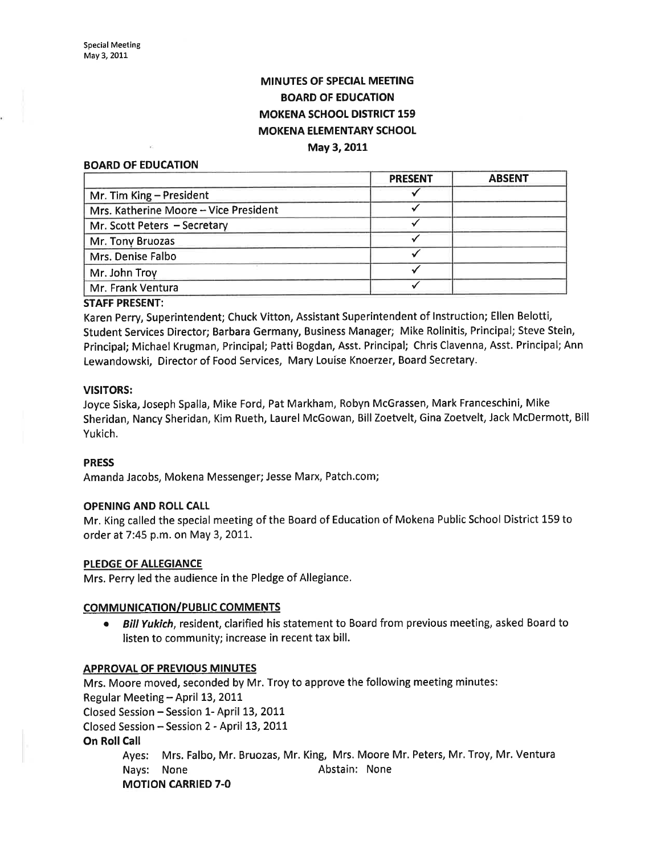# **MINUTES OF SPECIAL MEETING** BOARD OF EDUCATION MOKENA SCHOOL DISTRICT 159 MOKENA ELEMENTARY SCHOOL

## May 3,2011

#### BOARD OF EDUCATION

|                                       | <b>PRESENT</b> | <b>ABSENT</b> |
|---------------------------------------|----------------|---------------|
| Mr. Tim King - President              |                |               |
| Mrs. Katherine Moore - Vice President |                |               |
| Mr. Scott Peters - Secretary          |                |               |
| Mr. Tony Bruozas                      |                |               |
| Mrs. Denise Falbo                     |                |               |
| Mr. John Troy                         |                |               |
| Mr. Frank Ventura                     |                |               |

### STAFF PRESENT:

Karen Perry, Superintendent; Chuck Vitton, Assistant Superintendent of lnstruction; Ellen Belotti, Student Services Director; Barbara Germany, Business Manager; Mike Rolinitis, Principal; Steve Stein, Principal; Michael Krugman, Principal; Patti Bogdan, Asst. Principal; Chris Clavenna, Asst. Principal; Ann Lewandowski, Director of Food Services, Mary Louise Knoerzer, Board Secretary.

#### VISITORS:

Joyce Siska, Joseph Spalla, Mike Ford, Pat Markham, Robyn McGrassen, Mark Franceschini, Mike Sheridan, Nancy Sheridan, Kim Rueth, Laurel McGowan, Bill Zoetvelt, Gina Zoetvelt, Jack McDermott, Bill Yukich.

### PRESS

Amanda Jacobs, Mokena Messenger; Jesse Marx, Patch.com;

### OPENING AND ROLL CALL

Mr. King called the special meeting of the Board of Education of Mokena Public School District 159 to order at 7:45 p.m. on May 3,201I.

#### PLEDGE OF ALLEGIANCE

Mrs. Perry led the audience in the Pledge of Allegiance.

### **COMMUNICATION/PUBLIC COMMENTS**

• Bill Yukich, resident, clarified his statement to Board from previous meeting, asked Board to listen to community; increase in recent tax bill.

#### APPROVAL OF PREVIOUS MINUTES

Mrs. Moore moved, seconded by Mr. Troy to approve the following meeting minutes: Regular Meeting - April 13, 2011 Closed Session - Session 1- April 13, 2011 Closed Session - Session 2 - April 13,2OIL On Roll Call Ayes: Mrs. Falbo, Mr. Bruozas, Mr. King, Mrs. Moore Mr. Peters, Mr, Troy, Mr. Ventura Nays: None **Abstain:** None MOTION CARRIED 7.0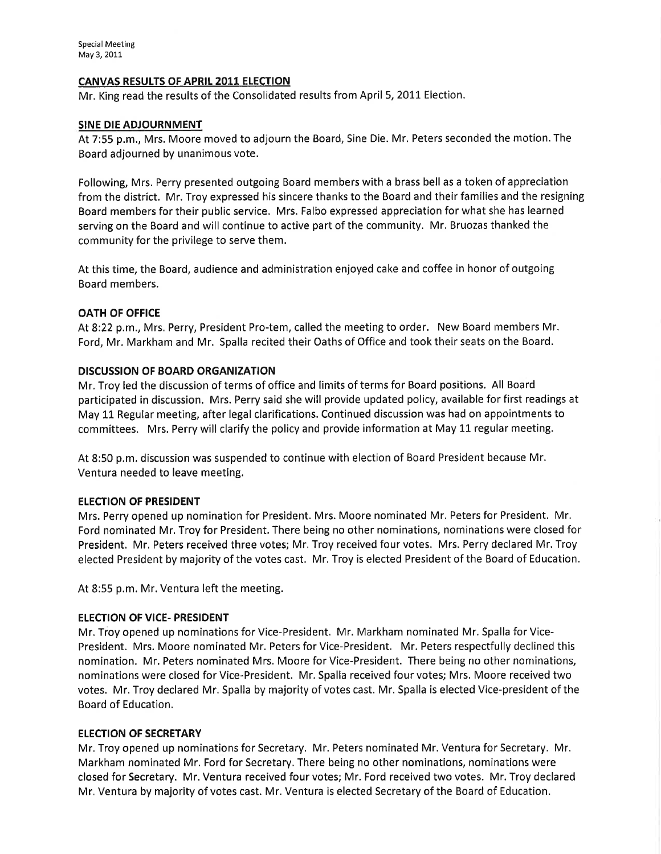# CANVAS RESULTS OF APRIL 2011 ELECTION

Mr. King read the results of the Consolidated results from April 5, 2011 Election.

# SINE DIE ADJOURNMENT

At 7:55 p.m., Mrs. Moore moved to adjourn the Board, Sine Die. Mr, Peters seconded the motion. The Board adjourned by unanimous vote.

Following, Mrs. Perry presented outgoing Board members with a brass bellas a token of appreciation from the district. Mr. Troy expressed his sincere thanks to the Board and their families and the resigning Board members for their public service. Mrs. Falbo expressed appreciation for what she has learned serving on the Board and will continue to active part of the community. Mr. Bruozas thanked the community for the privilege to serve them.

At this time, the Board, audience and administration enjoyed cake and coffee in honor of outgoing Board members.

# OATH OF OFFICE

At8.22 p.m., Mrs, Perry, President Pro-tem, called the meeting to order. New Board members Mr. Ford, Mr. Markham and Mr. Spalla recited their Oaths of Office and took their seats on the Board.

# DISCUSSION OF BOARD ORGANIZATION

Mr. Troy led the discussion of terms of office and limits of terms for Board positions. All Board participated in discussion. Mrs. Perry said she will provide updated policy, available for first readings at May 11 Regular meeting, after legal clarifications. Continued discussion was had on appointments to committees. Mrs. Perry will clarify the policy and provide information at May 11 regular meeting.

At 8:50 p.m. discussion was suspended to continue with election of Board President because Mr. Ventura needed to leave meeting.

# ELECTION OF PRESIDENT

Mrs. Perry opened up nomination for President. Mrs. Moore nominated Mr. Peters for President. Mr. Ford nominated Mr, Troy for President. There being no other nominations, nominations were closed for President. Mr, Peters received three votes; Mr, Troy received four votes. Mrs. Perry declared Mr. Troy elected President by majority of the votes cast. Mr. Troy is elected President of the Board of Education.

At 8:55 p.m. Mr. Ventura left the meeting.

### ELECTION OF VICE- PRESIDENT

Mr. Troy opened up nominations for Vice-President. Mr. Markham nominated Mr. Spalla for Vice-President. Mrs. Moore nominated Mr. Peters for Vice-President, Mr. Peters respectfully declined this nomination. Mr. Peters nominated Mrs. Moore for Vice-President. There being no other nominations, nominations were closed for Vice-President. Mr. Spalla received four votes; Mrs. Moore received two votes. Mr. Troy declared Mr. Spalla by majority of votes cast. Mr. Spalla is elected Vice-president of the Board of Education.

### ELECTION OF SECRETARY

Mr. Troy opened up nominations for Secretary, Mr. Peters nominated Mr. Ventura for Secretary. Mr. Markham nominated Mr. Ford for Secretary. There being no other nominations, nominations were closed for Secretary. Mr. Ventura received four votes; Mr. Ford received two votes. Mr. Troy declared Mr, Ventura by majority of votes cast. Mr. Ventura is elected Secretary of the Board of Education.